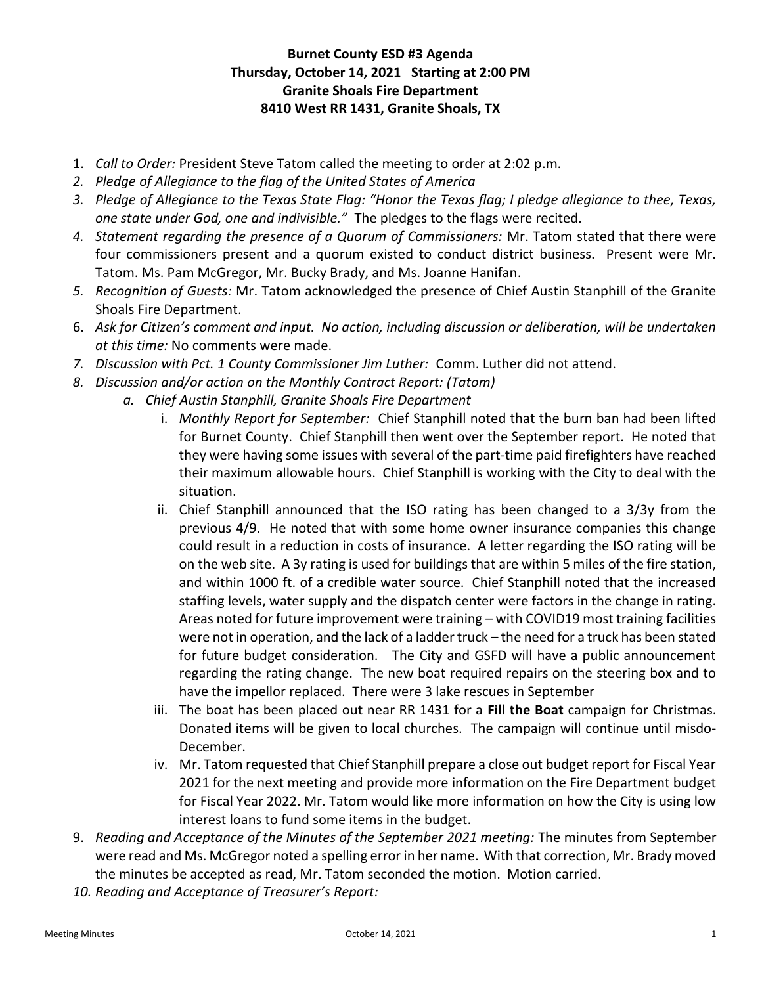## Burnet County ESD #3 Agenda Thursday, October 14, 2021 Starting at 2:00 PM Granite Shoals Fire Department 8410 West RR 1431, Granite Shoals, TX

- 1. Call to Order: President Steve Tatom called the meeting to order at 2:02 p.m.
- 2. Pledge of Allegiance to the flag of the United States of America
- 3. Pledge of Allegiance to the Texas State Flag: "Honor the Texas flag; I pledge allegiance to thee, Texas, one state under God, one and indivisible." The pledges to the flags were recited.
- 4. Statement regarding the presence of a Quorum of Commissioners: Mr. Tatom stated that there were four commissioners present and a quorum existed to conduct district business. Present were Mr. Tatom. Ms. Pam McGregor, Mr. Bucky Brady, and Ms. Joanne Hanifan.
- 5. Recognition of Guests: Mr. Tatom acknowledged the presence of Chief Austin Stanphill of the Granite Shoals Fire Department.
- 6. Ask for Citizen's comment and input. No action, including discussion or deliberation, will be undertaken at this time: No comments were made.
- 7. Discussion with Pct. 1 County Commissioner Jim Luther: Comm. Luther did not attend.
- 8. Discussion and/or action on the Monthly Contract Report: (Tatom)
	- a. Chief Austin Stanphill, Granite Shoals Fire Department
		- i. Monthly Report for September: Chief Stanphill noted that the burn ban had been lifted for Burnet County. Chief Stanphill then went over the September report. He noted that they were having some issues with several of the part-time paid firefighters have reached their maximum allowable hours. Chief Stanphill is working with the City to deal with the situation.
		- ii. Chief Stanphill announced that the ISO rating has been changed to a 3/3y from the previous 4/9. He noted that with some home owner insurance companies this change could result in a reduction in costs of insurance. A letter regarding the ISO rating will be on the web site. A 3y rating is used for buildings that are within 5 miles of the fire station, and within 1000 ft. of a credible water source. Chief Stanphill noted that the increased staffing levels, water supply and the dispatch center were factors in the change in rating. Areas noted for future improvement were training – with COVID19 most training facilities were not in operation, and the lack of a ladder truck – the need for a truck has been stated for future budget consideration. The City and GSFD will have a public announcement regarding the rating change. The new boat required repairs on the steering box and to have the impellor replaced. There were 3 lake rescues in September
		- iii. The boat has been placed out near RR 1431 for a Fill the Boat campaign for Christmas. Donated items will be given to local churches. The campaign will continue until misdo-December.
		- iv. Mr. Tatom requested that Chief Stanphill prepare a close out budget report for Fiscal Year 2021 for the next meeting and provide more information on the Fire Department budget for Fiscal Year 2022. Mr. Tatom would like more information on how the City is using low interest loans to fund some items in the budget.
- 9. Reading and Acceptance of the Minutes of the September 2021 meeting: The minutes from September were read and Ms. McGregor noted a spelling error in her name. With that correction, Mr. Brady moved the minutes be accepted as read, Mr. Tatom seconded the motion. Motion carried.
- 10. Reading and Acceptance of Treasurer's Report: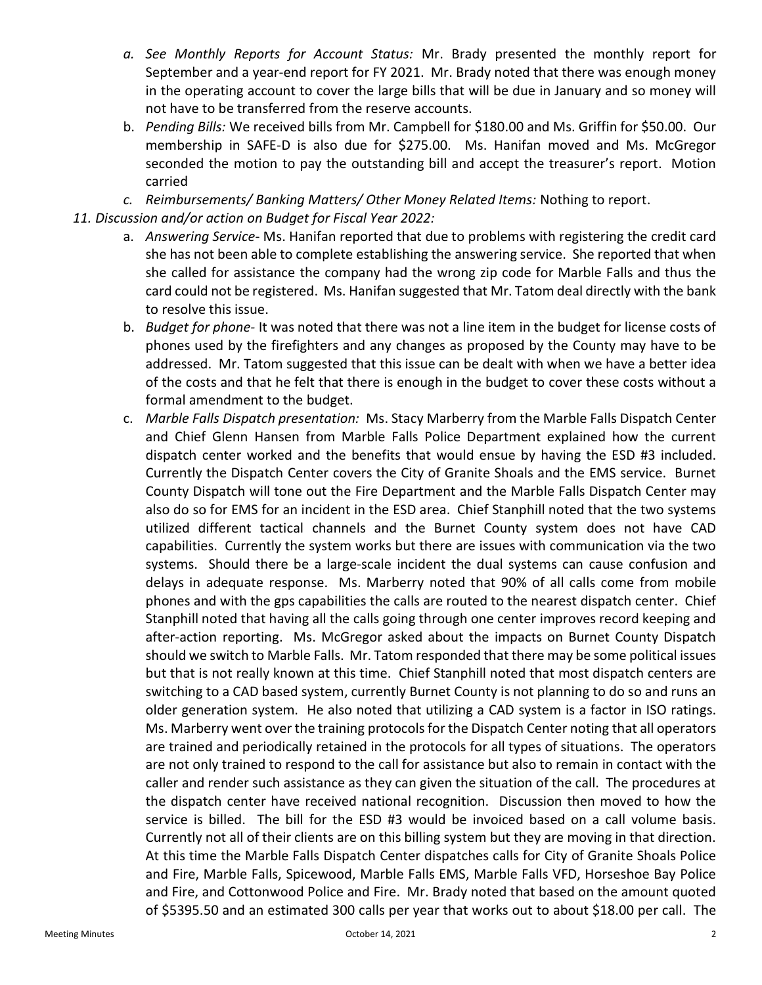- a. See Monthly Reports for Account Status: Mr. Brady presented the monthly report for September and a year-end report for FY 2021. Mr. Brady noted that there was enough money in the operating account to cover the large bills that will be due in January and so money will not have to be transferred from the reserve accounts.
- b. Pending Bills: We received bills from Mr. Campbell for \$180.00 and Ms. Griffin for \$50.00. Our membership in SAFE-D is also due for \$275.00. Ms. Hanifan moved and Ms. McGregor seconded the motion to pay the outstanding bill and accept the treasurer's report. Motion carried
- c. Reimbursements/ Banking Matters/ Other Money Related Items: Nothing to report.
- 11. Discussion and/or action on Budget for Fiscal Year 2022:
	- a. Answering Service- Ms. Hanifan reported that due to problems with registering the credit card she has not been able to complete establishing the answering service. She reported that when she called for assistance the company had the wrong zip code for Marble Falls and thus the card could not be registered. Ms. Hanifan suggested that Mr. Tatom deal directly with the bank to resolve this issue.
	- b. Budget for phone- It was noted that there was not a line item in the budget for license costs of phones used by the firefighters and any changes as proposed by the County may have to be addressed. Mr. Tatom suggested that this issue can be dealt with when we have a better idea of the costs and that he felt that there is enough in the budget to cover these costs without a formal amendment to the budget.
	- c. Marble Falls Dispatch presentation: Ms. Stacy Marberry from the Marble Falls Dispatch Center and Chief Glenn Hansen from Marble Falls Police Department explained how the current dispatch center worked and the benefits that would ensue by having the ESD #3 included. Currently the Dispatch Center covers the City of Granite Shoals and the EMS service. Burnet County Dispatch will tone out the Fire Department and the Marble Falls Dispatch Center may also do so for EMS for an incident in the ESD area. Chief Stanphill noted that the two systems utilized different tactical channels and the Burnet County system does not have CAD capabilities. Currently the system works but there are issues with communication via the two systems. Should there be a large-scale incident the dual systems can cause confusion and delays in adequate response. Ms. Marberry noted that 90% of all calls come from mobile phones and with the gps capabilities the calls are routed to the nearest dispatch center. Chief Stanphill noted that having all the calls going through one center improves record keeping and after-action reporting. Ms. McGregor asked about the impacts on Burnet County Dispatch should we switch to Marble Falls. Mr. Tatom responded that there may be some political issues but that is not really known at this time. Chief Stanphill noted that most dispatch centers are switching to a CAD based system, currently Burnet County is not planning to do so and runs an older generation system. He also noted that utilizing a CAD system is a factor in ISO ratings. Ms. Marberry went over the training protocols for the Dispatch Center noting that all operators are trained and periodically retained in the protocols for all types of situations. The operators are not only trained to respond to the call for assistance but also to remain in contact with the caller and render such assistance as they can given the situation of the call. The procedures at the dispatch center have received national recognition. Discussion then moved to how the service is billed. The bill for the ESD #3 would be invoiced based on a call volume basis. Currently not all of their clients are on this billing system but they are moving in that direction. At this time the Marble Falls Dispatch Center dispatches calls for City of Granite Shoals Police and Fire, Marble Falls, Spicewood, Marble Falls EMS, Marble Falls VFD, Horseshoe Bay Police and Fire, and Cottonwood Police and Fire. Mr. Brady noted that based on the amount quoted of \$5395.50 and an estimated 300 calls per year that works out to about \$18.00 per call. The